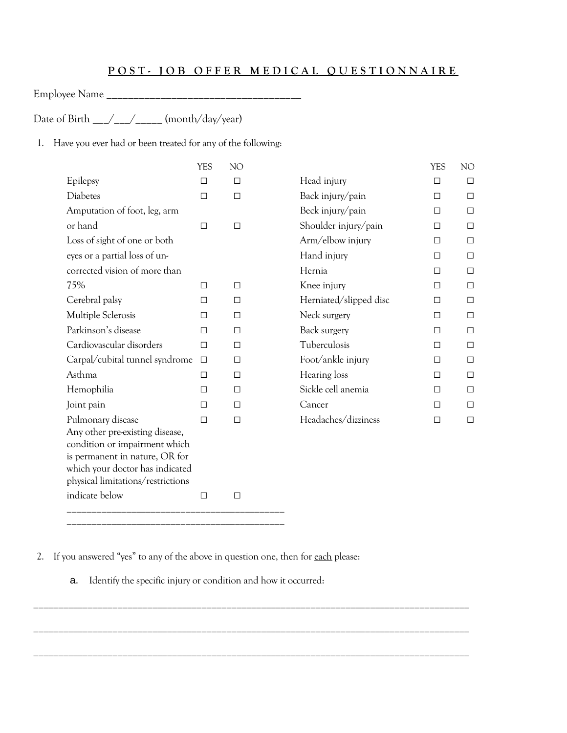## POST- JOB OFFER MEDICAL QUESTIONNAIRE

Employee Name \_\_\_\_\_\_\_\_\_\_\_\_\_\_\_\_\_\_\_\_\_\_\_\_\_\_\_\_\_\_\_\_\_\_\_\_

Date of Birth \_\_\_/\_\_\_/\_\_\_\_\_ (month/day/year)

1. Have you ever had or been treated for any of the following:

|                                                                 | <b>YES</b> | NO     |                        | <b>YES</b> | NO.    |
|-----------------------------------------------------------------|------------|--------|------------------------|------------|--------|
| Epilepsy                                                        | $\Box$     | $\Box$ | Head injury            | $\Box$     | $\Box$ |
| <b>Diabetes</b>                                                 | $\Box$     | $\Box$ | Back injury/pain       | $\Box$     | $\Box$ |
| Amputation of foot, leg, arm                                    |            |        | Beck injury/pain       | $\Box$     | $\Box$ |
| or hand                                                         | $\Box$     | $\Box$ | Shoulder injury/pain   | $\Box$     | $\Box$ |
| Loss of sight of one or both                                    |            |        | Arm/elbow injury       | $\Box$     | $\Box$ |
| eyes or a partial loss of un-                                   |            |        | Hand injury            | $\Box$     | $\Box$ |
| corrected vision of more than                                   |            |        | Hernia                 | $\Box$     | $\Box$ |
| 75%                                                             | $\Box$     | $\Box$ | Knee injury            | $\Box$     | $\Box$ |
| Cerebral palsy                                                  | $\Box$     | П      | Herniated/slipped disc | $\Box$     | □      |
| Multiple Sclerosis                                              | $\Box$     | П      | Neck surgery           | $\Box$     | $\Box$ |
| Parkinson's disease                                             | $\Box$     | $\Box$ | Back surgery           | $\Box$     | $\Box$ |
| Cardiovascular disorders                                        | $\Box$     | $\Box$ | Tuberculosis           | $\Box$     | $\Box$ |
| Carpal/cubital tunnel syndrome                                  | $\Box$     | $\Box$ | Foot/ankle injury      | $\Box$     | $\Box$ |
| Asthma                                                          | $\Box$     | $\Box$ | Hearing loss           | $\Box$     | $\Box$ |
| Hemophilia                                                      | $\Box$     | $\Box$ | Sickle cell anemia     | $\Box$     | $\Box$ |
| Joint pain                                                      | $\Box$     | $\Box$ | Cancer                 | $\Box$     | $\Box$ |
| Pulmonary disease                                               | $\Box$     | $\Box$ | Headaches/dizziness    | $\Box$     | $\Box$ |
| Any other pre-existing disease,                                 |            |        |                        |            |        |
| condition or impairment which<br>is permanent in nature, OR for |            |        |                        |            |        |
| which your doctor has indicated                                 |            |        |                        |            |        |
| physical limitations/restrictions                               |            |        |                        |            |        |
| indicate below                                                  | $\Box$     | □      |                        |            |        |
|                                                                 |            |        |                        |            |        |

2. If you answered "yes" to any of the above in question one, then for each please:

\_\_\_\_\_\_\_\_\_\_\_\_\_\_\_\_\_\_\_\_\_\_\_\_\_\_\_\_\_\_\_\_\_\_\_\_\_\_\_\_\_\_\_\_

a. Identify the specific injury or condition and how it occurred:

\_\_\_\_\_\_\_\_\_\_\_\_\_\_\_\_\_\_\_\_\_\_\_\_\_\_\_\_\_\_\_\_\_\_\_\_\_\_\_\_\_\_\_\_\_\_\_\_\_\_\_\_\_\_\_\_\_\_\_\_\_\_\_\_\_\_\_\_\_\_\_\_\_\_\_\_\_\_\_\_\_\_\_\_\_\_\_\_

\_\_\_\_\_\_\_\_\_\_\_\_\_\_\_\_\_\_\_\_\_\_\_\_\_\_\_\_\_\_\_\_\_\_\_\_\_\_\_\_\_\_\_\_\_\_\_\_\_\_\_\_\_\_\_\_\_\_\_\_\_\_\_\_\_\_\_\_\_\_\_\_\_\_\_\_\_\_\_\_\_\_\_\_\_\_\_\_

\_\_\_\_\_\_\_\_\_\_\_\_\_\_\_\_\_\_\_\_\_\_\_\_\_\_\_\_\_\_\_\_\_\_\_\_\_\_\_\_\_\_\_\_\_\_\_\_\_\_\_\_\_\_\_\_\_\_\_\_\_\_\_\_\_\_\_\_\_\_\_\_\_\_\_\_\_\_\_\_\_\_\_\_\_\_\_\_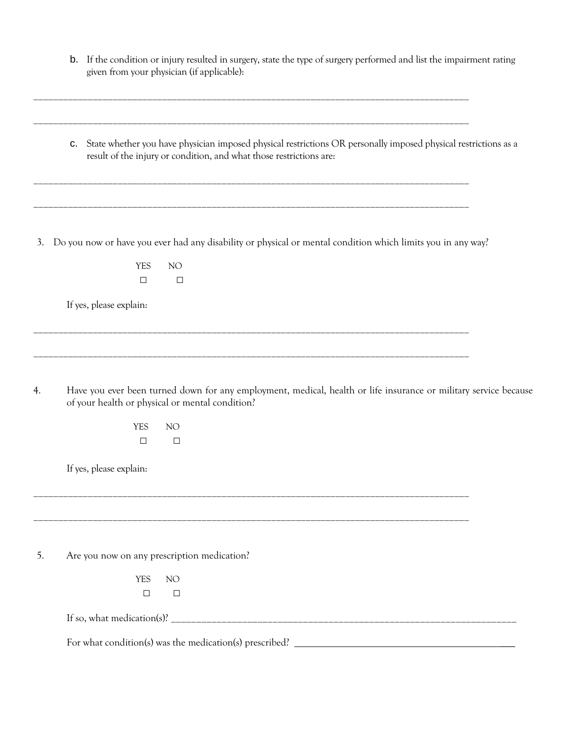|    | If the condition or injury resulted in surgery, state the type of surgery performed and list the impairment rating<br>b.<br>given from your physician (if applicable):                       |  |
|----|----------------------------------------------------------------------------------------------------------------------------------------------------------------------------------------------|--|
|    | State whether you have physician imposed physical restrictions OR personally imposed physical restrictions as a<br>C.<br>result of the injury or condition, and what those restrictions are: |  |
| 3. | Do you now or have you ever had any disability or physical or mental condition which limits you in any way?<br><b>YES</b><br>NO                                                              |  |
|    | $\Box$<br>$\Box$<br>If yes, please explain:                                                                                                                                                  |  |
| 4. | Have you ever been turned down for any employment, medical, health or life insurance or military service because<br>of your health or physical or mental condition?                          |  |
|    | <b>YES</b><br>NO <sub>1</sub><br>$\Box$<br>$\Box$                                                                                                                                            |  |
|    | If yes, please explain:                                                                                                                                                                      |  |
| 5. | Are you now on any prescription medication?                                                                                                                                                  |  |
|    | <b>YES</b><br>NO <sub>1</sub><br>$\Box$<br>$\Box$                                                                                                                                            |  |
|    |                                                                                                                                                                                              |  |
|    |                                                                                                                                                                                              |  |